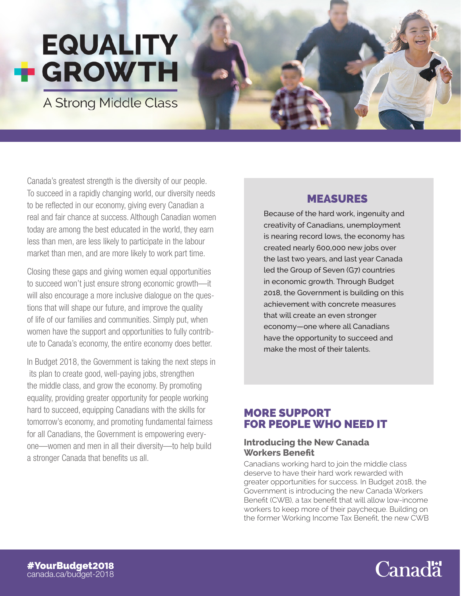# **EQUALITY F GROWTH**

A Strong Middle Class



Canada's greatest strength is the diversity of our people. To succeed in a rapidly changing world, our diversity needs to be reflected in our economy, giving every Canadian a real and fair chance at success. Although Canadian women today are among the best educated in the world, they earn less than men, are less likely to participate in the labour market than men, and are more likely to work part time.

Closing these gaps and giving women equal opportunities to succeed won't just ensure strong economic growth—it will also encourage a more inclusive dialogue on the questions that will shape our future, and improve the quality of life of our families and communities. Simply put, when women have the support and opportunities to fully contribute to Canada's economy, the entire economy does better.

In Budget 2018, the Government is taking the next steps in its plan to create good, well-paying jobs, strengthen the middle class, and grow the economy. By promoting equality, providing greater opportunity for people working hard to succeed, equipping Canadians with the skills for tomorrow's economy, and promoting fundamental fairness for all Canadians, the Government is empowering everyone—women and men in all their diversity—to help build a stronger Canada that benefits us all.

## MEASURES

Because of the hard work, ingenuity and creativity of Canadians, unemployment is nearing record lows, the economy has created nearly 600,000 new jobs over the last two years, and last year Canada led the Group of Seven (G7) countries in economic growth. Through Budget 2018, the Government is building on this achievement with concrete measures that will create an even stronger economy—one where all Canadians have the opportunity to succeed and make the most of their talents.

## MORE SUPPORT FOR PEOPLE WHO NEED IT

#### **Introducing the New Canada Workers Benefit**

Canadians working hard to join the middle class deserve to have their hard work rewarded with greater opportunities for success. In Budget 2018, the Government is introducing the new Canada Workers Benefit (CWB), a tax benefit that will allow low-income workers to keep more of their paycheque. Building on the former Working Income Tax Benefit, the new CWB

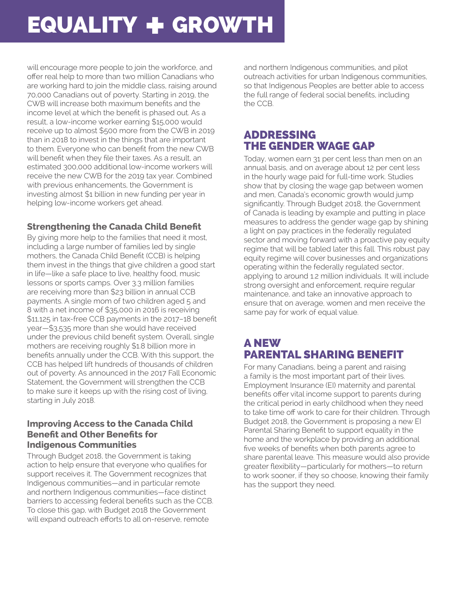# EQUALITY + GROWTH

will encourage more people to join the workforce, and offer real help to more than two million Canadians who are working hard to join the middle class, raising around 70,000 Canadians out of poverty. Starting in 2019, the CWB will increase both maximum benefits and the income level at which the benefit is phased out. As a result, a low-income worker earning \$15,000 would receive up to almost \$500 more from the CWB in 2019 than in 2018 to invest in the things that are important to them. Everyone who can benefit from the new CWB will benefit when they file their taxes. As a result, an estimated 300,000 additional low-income workers will receive the new CWB for the 2019 tax year. Combined with previous enhancements, the Government is investing almost \$1 billion in new funding per year in helping low-income workers get ahead.

### **Strengthening the Canada Child Benefit**

By giving more help to the families that need it most, including a large number of families led by single mothers, the Canada Child Benefit (CCB) is helping them invest in the things that give children a good start in life—like a safe place to live, healthy food, music lessons or sports camps. Over 3.3 million families are receiving more than \$23 billion in annual CCB payments. A single mom of two children aged 5 and 8 with a net income of \$35,000 in 2016 is receiving \$11,125 in tax-free CCB payments in the 2017–18 benefit year—\$3,535 more than she would have received under the previous child benefit system. Overall, single mothers are receiving roughly \$1.8 billion more in benefits annually under the CCB. With this support, the CCB has helped lift hundreds of thousands of children out of poverty. As announced in the 2017 Fall Economic Statement, the Government will strengthen the CCB to make sure it keeps up with the rising cost of living, starting in July 2018.

#### **Improving Access to the Canada Child Benefit and Other Benefits for Indigenous Communities**

Through Budget 2018, the Government is taking action to help ensure that everyone who qualifies for support receives it. The Government recognizes that Indigenous communities—and in particular remote and northern Indigenous communities—face distinct barriers to accessing federal benefits such as the CCB. To close this gap, with Budget 2018 the Government will expand outreach efforts to all on-reserve, remote

and northern Indigenous communities, and pilot outreach activities for urban Indigenous communities, so that Indigenous Peoples are better able to access the full range of federal social benefits, including the CCB.

### ADDRESSING THE GENDER WAGE GAP

Today, women earn 31 per cent less than men on an annual basis, and on average about 12 per cent less in the hourly wage paid for full-time work. Studies show that by closing the wage gap between women and men, Canada's economic growth would jump significantly. Through Budget 2018, the Government of Canada is leading by example and putting in place measures to address the gender wage gap by shining a light on pay practices in the federally regulated sector and moving forward with a proactive pay equity regime that will be tabled later this fall. This robust pay equity regime will cover businesses and organizations operating within the federally regulated sector, applying to around 1.2 million individuals. It will include strong oversight and enforcement, require regular maintenance, and take an innovative approach to ensure that on average, women and men receive the same pay for work of equal value.

## A NEW PARENTAL SHARING BENEFIT

For many Canadians, being a parent and raising a family is the most important part of their lives. Employment Insurance (EI) maternity and parental benefits offer vital income support to parents during the critical period in early childhood when they need to take time off work to care for their children. Through Budget 2018, the Government is proposing a new EI Parental Sharing Benefit to support equality in the home and the workplace by providing an additional five weeks of benefits when both parents agree to share parental leave. This measure would also provide greater flexibility—particularly for mothers—to return to work sooner, if they so choose, knowing their family has the support they need.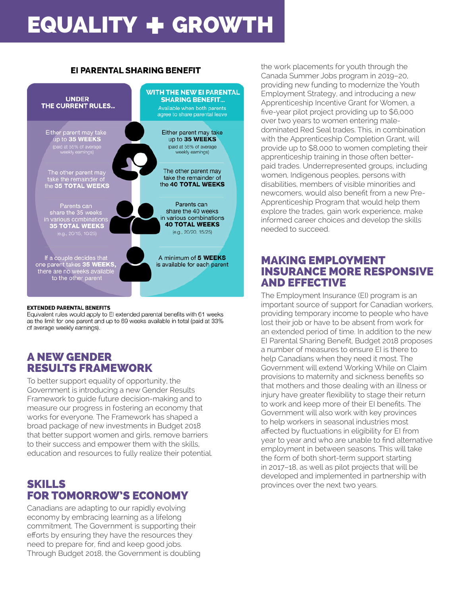# EQUALITY + GROWTH

#### **EI PARENTAL SHARING BENEFIT**



#### **EXTENDED PARENTAL BENEFITS**

Equivalent rules would apply to El extended parental benefits with 61 weeks as the limit for one parent and up to 69 weeks available in total (paid at 33% of average weekly earnings).

## A NEW GENDER RESULTS FRAMEWORK

To better support equality of opportunity, the Government is introducing a new Gender Results Framework to guide future decision-making and to measure our progress in fostering an economy that works for everyone. The Framework has shaped a broad package of new investments in Budget 2018 that better support women and girls, remove barriers to their success and empower them with the skills, education and resources to fully realize their potential.

### SKILLS FOR TOMORROW'S ECONOMY

Canadians are adapting to our rapidly evolving economy by embracing learning as a lifelong commitment. The Government is supporting their efforts by ensuring they have the resources they need to prepare for, find and keep good jobs. Through Budget 2018, the Government is doubling the work placements for youth through the Canada Summer Jobs program in 2019–20, providing new funding to modernize the Youth Employment Strategy, and introducing a new Apprenticeship Incentive Grant for Women, a five-year pilot project providing up to \$6,000 over two years to women entering maledominated Red Seal trades. This, in combination with the Apprenticeship Completion Grant, will provide up to \$8,000 to women completing their apprenticeship training in those often betterpaid trades. Underrepresented groups, including women, Indigenous peoples, persons with disabilities, members of visible minorities and newcomers, would also benefit from a new Pre-Apprenticeship Program that would help them explore the trades, gain work experience, make informed career choices and develop the skills needed to succeed.

### MAKING EMPLOYMENT INSURANCE MORE RESPONSIVE AND EFFECTIVE

The Employment Insurance (EI) program is an important source of support for Canadian workers, providing temporary income to people who have lost their job or have to be absent from work for an extended period of time. In addition to the new EI Parental Sharing Benefit, Budget 2018 proposes a number of measures to ensure EI is there to help Canadians when they need it most. The Government will extend Working While on Claim provisions to maternity and sickness benefits so that mothers and those dealing with an illness or injury have greater flexibility to stage their return to work and keep more of their EI benefits. The Government will also work with key provinces to help workers in seasonal industries most affected by fluctuations in eligibility for EI from year to year and who are unable to find alternative employment in between seasons. This will take the form of both short-term support starting in 2017–18, as well as pilot projects that will be developed and implemented in partnership with provinces over the next two years.